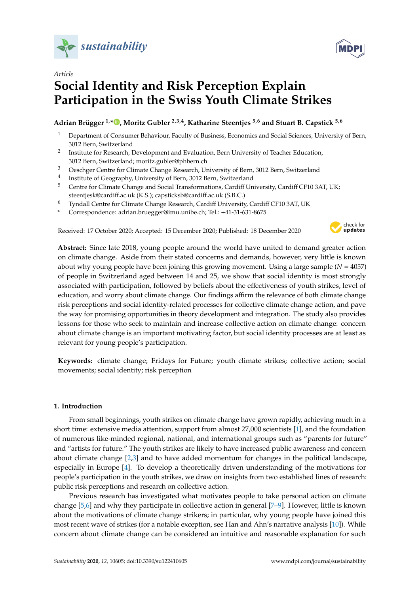



# *Article* **Social Identity and Risk Perception Explain Participation in the Swiss Youth Climate Strikes**

# **Adrian Brügger 1,\* [,](https://orcid.org/0000-0003-0026-3153) Moritz Gubler 2,3,4, Katharine Steentjes 5,6 and Stuart B. Capstick 5,6**

- <sup>1</sup> Department of Consumer Behaviour, Faculty of Business, Economics and Social Sciences, University of Bern, 3012 Bern, Switzerland
- 2 Institute for Research, Development and Evaluation, Bern University of Teacher Education, 3012 Bern, Switzerland; moritz.gubler@phbern.ch
- <sup>3</sup> Oeschger Centre for Climate Change Research, University of Bern, 3012 Bern, Switzerland
- 4 Institute of Geography, University of Bern, 3012 Bern, Switzerland
- <sup>5</sup> Centre for Climate Change and Social Transformations, Cardiff University, Cardiff CF10 3AT, UK; steentjesk@cardiff.ac.uk (K.S.); capsticksb@cardiff.ac.uk (S.B.C.)
- <sup>6</sup> Tyndall Centre for Climate Change Research, Cardiff University, Cardiff CF10 3AT, UK
- **\*** Correspondence: adrian.bruegger@imu.unibe.ch; Tel.: +41-31-631-8675

Received: 17 October 2020; Accepted: 15 December 2020; Published: 18 December 2020



**Abstract:** Since late 2018, young people around the world have united to demand greater action on climate change. Aside from their stated concerns and demands, however, very little is known about why young people have been joining this growing movement. Using a large sample  $(N = 4057)$ of people in Switzerland aged between 14 and 25, we show that social identity is most strongly associated with participation, followed by beliefs about the effectiveness of youth strikes, level of education, and worry about climate change. Our findings affirm the relevance of both climate change risk perceptions and social identity-related processes for collective climate change action, and pave the way for promising opportunities in theory development and integration. The study also provides lessons for those who seek to maintain and increase collective action on climate change: concern about climate change is an important motivating factor, but social identity processes are at least as relevant for young people's participation.

**Keywords:** climate change; Fridays for Future; youth climate strikes; collective action; social movements; social identity; risk perception

# **1. Introduction**

From small beginnings, youth strikes on climate change have grown rapidly, achieving much in a short time: extensive media attention, support from almost 27,000 scientists [\[1\]](#page-11-0), and the foundation of numerous like-minded regional, national, and international groups such as "parents for future" and "artists for future." The youth strikes are likely to have increased public awareness and concern about climate change [\[2,](#page-11-1)[3\]](#page-11-2) and to have added momentum for changes in the political landscape, especially in Europe [\[4\]](#page-11-3). To develop a theoretically driven understanding of the motivations for people's participation in the youth strikes, we draw on insights from two established lines of research: public risk perceptions and research on collective action.

Previous research has investigated what motivates people to take personal action on climate change [\[5](#page-11-4)[,6\]](#page-11-5) and why they participate in collective action in general [\[7](#page-11-6)[–9\]](#page-11-7). However, little is known about the motivations of climate change strikers; in particular, why young people have joined this most recent wave of strikes (for a notable exception, see Han and Ahn's narrative analysis [\[10\]](#page-12-0)). While concern about climate change can be considered an intuitive and reasonable explanation for such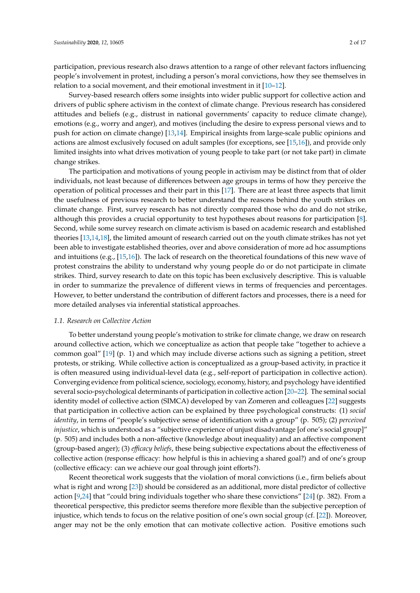participation, previous research also draws attention to a range of other relevant factors influencing people's involvement in protest, including a person's moral convictions, how they see themselves in relation to a social movement, and their emotional investment in it [\[10](#page-12-0)[–12\]](#page-12-1).

Survey-based research offers some insights into wider public support for collective action and drivers of public sphere activism in the context of climate change. Previous research has considered attitudes and beliefs (e.g., distrust in national governments' capacity to reduce climate change), emotions (e.g., worry and anger), and motives (including the desire to express personal views and to push for action on climate change) [\[13,](#page-12-2)[14\]](#page-12-3). Empirical insights from large-scale public opinions and actions are almost exclusively focused on adult samples (for exceptions, see [\[15,](#page-12-4)[16\]](#page-12-5)), and provide only limited insights into what drives motivation of young people to take part (or not take part) in climate change strikes.

The participation and motivations of young people in activism may be distinct from that of older individuals, not least because of differences between age groups in terms of how they perceive the operation of political processes and their part in this [\[17\]](#page-12-6). There are at least three aspects that limit the usefulness of previous research to better understand the reasons behind the youth strikes on climate change. First, survey research has not directly compared those who do and do not strike, although this provides a crucial opportunity to test hypotheses about reasons for participation [\[8\]](#page-11-8). Second, while some survey research on climate activism is based on academic research and established theories [\[13,](#page-12-2)[14,](#page-12-3)[18\]](#page-12-7), the limited amount of research carried out on the youth climate strikes has not yet been able to investigate established theories, over and above consideration of more ad hoc assumptions and intuitions (e.g., [\[15](#page-12-4)[,16\]](#page-12-5)). The lack of research on the theoretical foundations of this new wave of protest constrains the ability to understand why young people do or do not participate in climate strikes. Third, survey research to date on this topic has been exclusively descriptive. This is valuable in order to summarize the prevalence of different views in terms of frequencies and percentages. However, to better understand the contribution of different factors and processes, there is a need for more detailed analyses via inferential statistical approaches.

# *1.1. Research on Collective Action*

To better understand young people's motivation to strike for climate change, we draw on research around collective action, which we conceptualize as action that people take "together to achieve a common goal" [\[19\]](#page-12-8) (p. 1) and which may include diverse actions such as signing a petition, street protests, or striking. While collective action is conceptualized as a group-based activity, in practice it is often measured using individual-level data (e.g., self-report of participation in collective action). Converging evidence from political science, sociology, economy, history, and psychology have identified several socio-psychological determinants of participation in collective action [\[20–](#page-12-9)[22\]](#page-12-10). The seminal social identity model of collective action (SIMCA) developed by van Zomeren and colleagues [\[22\]](#page-12-10) suggests that participation in collective action can be explained by three psychological constructs: (1) *social identity*, in terms of "people's subjective sense of identification with a group" (p. 505); (2) *perceived injustice*, which is understood as a "subjective experience of unjust disadvantage [of one's social group]" (p. 505) and includes both a non-affective (knowledge about inequality) and an affective component (group-based anger); (3) *e*ffi*cacy beliefs*, these being subjective expectations about the effectiveness of collective action (response efficacy: how helpful is this in achieving a shared goal?) and of one's group (collective efficacy: can we achieve our goal through joint efforts?).

Recent theoretical work suggests that the violation of moral convictions (i.e., firm beliefs about what is right and wrong [\[23\]](#page-12-11)) should be considered as an additional, more distal predictor of collective action [\[9,](#page-11-7)[24\]](#page-12-12) that "could bring individuals together who share these convictions" [\[24\]](#page-12-12) (p. 382). From a theoretical perspective, this predictor seems therefore more flexible than the subjective perception of injustice, which tends to focus on the relative position of one's own social group (cf. [\[22\]](#page-12-10)). Moreover, anger may not be the only emotion that can motivate collective action. Positive emotions such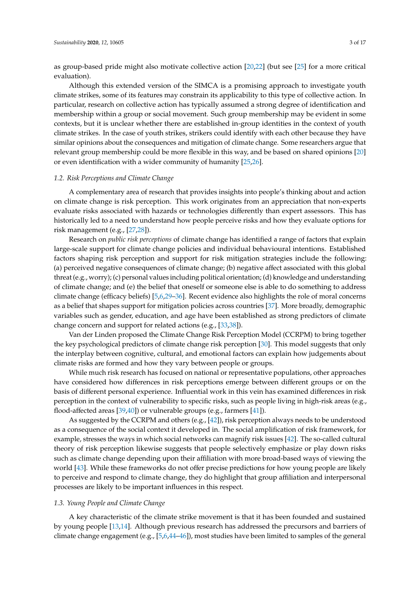as group-based pride might also motivate collective action [\[20](#page-12-9)[,22\]](#page-12-10) (but see [\[25\]](#page-12-13) for a more critical evaluation).

Although this extended version of the SIMCA is a promising approach to investigate youth climate strikes, some of its features may constrain its applicability to this type of collective action. In particular, research on collective action has typically assumed a strong degree of identification and membership within a group or social movement. Such group membership may be evident in some contexts, but it is unclear whether there are established in-group identities in the context of youth climate strikes. In the case of youth strikes, strikers could identify with each other because they have similar opinions about the consequences and mitigation of climate change. Some researchers argue that relevant group membership could be more flexible in this way, and be based on shared opinions [\[20\]](#page-12-9) or even identification with a wider community of humanity [\[25,](#page-12-13)[26\]](#page-12-14).

#### *1.2. Risk Perceptions and Climate Change*

A complementary area of research that provides insights into people's thinking about and action on climate change is risk perception. This work originates from an appreciation that non-experts evaluate risks associated with hazards or technologies differently than expert assessors. This has historically led to a need to understand how people perceive risks and how they evaluate options for risk management (e.g., [\[27](#page-12-15)[,28\]](#page-12-16)).

Research on *public risk perceptions* of climate change has identified a range of factors that explain large-scale support for climate change policies and individual behavioural intentions. Established factors shaping risk perception and support for risk mitigation strategies include the following: (a) perceived negative consequences of climate change; (b) negative affect associated with this global threat (e.g., worry); (c) personal values including political orientation; (d) knowledge and understanding of climate change; and (e) the belief that oneself or someone else is able to do something to address climate change (efficacy beliefs) [\[5](#page-11-4)[,6](#page-11-5)[,29–](#page-13-0)[36\]](#page-13-1). Recent evidence also highlights the role of moral concerns as a belief that shapes support for mitigation policies across countries [\[37\]](#page-13-2). More broadly, demographic variables such as gender, education, and age have been established as strong predictors of climate change concern and support for related actions (e.g., [\[33,](#page-13-3)[38\]](#page-13-4)).

Van der Linden proposed the Climate Change Risk Perception Model (CCRPM) to bring together the key psychological predictors of climate change risk perception [\[30\]](#page-13-5). This model suggests that only the interplay between cognitive, cultural, and emotional factors can explain how judgements about climate risks are formed and how they vary between people or groups.

While much risk research has focused on national or representative populations, other approaches have considered how differences in risk perceptions emerge between different groups or on the basis of different personal experience. Influential work in this vein has examined differences in risk perception in the context of vulnerability to specific risks, such as people living in high-risk areas (e.g., flood-affected areas [\[39,](#page-13-6)[40\]](#page-13-7)) or vulnerable groups (e.g., farmers [\[41\]](#page-13-8)).

As suggested by the CCRPM and others (e.g.,  $[42]$ ), risk perception always needs to be understood as a consequence of the social context it developed in. The social amplification of risk framework, for example, stresses the ways in which social networks can magnify risk issues [\[42\]](#page-13-9). The so-called cultural theory of risk perception likewise suggests that people selectively emphasize or play down risks such as climate change depending upon their affiliation with more broad-based ways of viewing the world [\[43\]](#page-13-10). While these frameworks do not offer precise predictions for how young people are likely to perceive and respond to climate change, they do highlight that group affiliation and interpersonal processes are likely to be important influences in this respect.

# *1.3. Young People and Climate Change*

A key characteristic of the climate strike movement is that it has been founded and sustained by young people [\[13](#page-12-2)[,14\]](#page-12-3). Although previous research has addressed the precursors and barriers of climate change engagement (e.g., [\[5,](#page-11-4)[6,](#page-11-5)[44](#page-13-11)[–46\]](#page-13-12)), most studies have been limited to samples of the general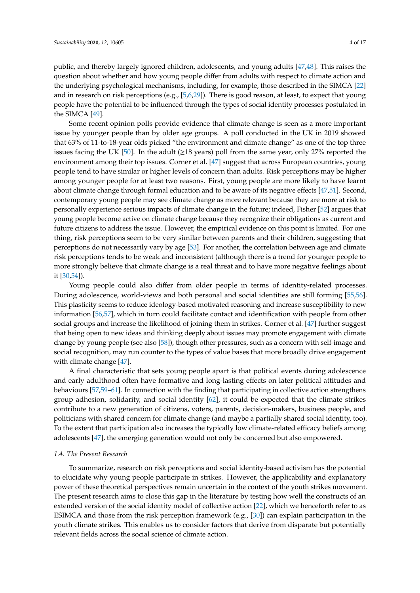public, and thereby largely ignored children, adolescents, and young adults [\[47,](#page-13-13)[48\]](#page-13-14). This raises the question about whether and how young people differ from adults with respect to climate action and the underlying psychological mechanisms, including, for example, those described in the SIMCA [\[22\]](#page-12-10) and in research on risk perceptions (e.g., [\[5](#page-11-4)[,6](#page-11-5)[,29\]](#page-13-0)). There is good reason, at least, to expect that young people have the potential to be influenced through the types of social identity processes postulated in the SIMCA [\[49\]](#page-13-15).

Some recent opinion polls provide evidence that climate change is seen as a more important issue by younger people than by older age groups. A poll conducted in the UK in 2019 showed that 63% of 11-to-18-year olds picked "the environment and climate change" as one of the top three issues facing the UK [\[50\]](#page-13-16). In the adult ( $\geq$ 18 years) poll from the same year, only 27% reported the environment among their top issues. Corner et al. [\[47\]](#page-13-13) suggest that across European countries, young people tend to have similar or higher levels of concern than adults. Risk perceptions may be higher among younger people for at least two reasons. First, young people are more likely to have learnt about climate change through formal education and to be aware of its negative effects [\[47,](#page-13-13)[51\]](#page-13-17). Second, contemporary young people may see climate change as more relevant because they are more at risk to personally experience serious impacts of climate change in the future; indeed, Fisher [\[52\]](#page-13-18) argues that young people become active on climate change because they recognize their obligations as current and future citizens to address the issue. However, the empirical evidence on this point is limited. For one thing, risk perceptions seem to be very similar between parents and their children, suggesting that perceptions do not necessarily vary by age [\[53\]](#page-14-0). For another, the correlation between age and climate risk perceptions tends to be weak and inconsistent (although there is a trend for younger people to more strongly believe that climate change is a real threat and to have more negative feelings about it [\[30](#page-13-5)[,54\]](#page-14-1)).

Young people could also differ from older people in terms of identity-related processes. During adolescence, world-views and both personal and social identities are still forming [\[55,](#page-14-2)[56\]](#page-14-3). This plasticity seems to reduce ideology-based motivated reasoning and increase susceptibility to new information [\[56](#page-14-3)[,57\]](#page-14-4), which in turn could facilitate contact and identification with people from other social groups and increase the likelihood of joining them in strikes. Corner et al. [\[47\]](#page-13-13) further suggest that being open to new ideas and thinking deeply about issues may promote engagement with climate change by young people (see also [\[58\]](#page-14-5)), though other pressures, such as a concern with self-image and social recognition, may run counter to the types of value bases that more broadly drive engagement with climate change [\[47\]](#page-13-13).

A final characteristic that sets young people apart is that political events during adolescence and early adulthood often have formative and long-lasting effects on later political attitudes and behaviours [\[57,](#page-14-4)[59–](#page-14-6)[61\]](#page-14-7). In connection with the finding that participating in collective action strengthens group adhesion, solidarity, and social identity [\[62\]](#page-14-8), it could be expected that the climate strikes contribute to a new generation of citizens, voters, parents, decision-makers, business people, and politicians with shared concern for climate change (and maybe a partially shared social identity, too). To the extent that participation also increases the typically low climate-related efficacy beliefs among adolescents [\[47\]](#page-13-13), the emerging generation would not only be concerned but also empowered.

#### *1.4. The Present Research*

To summarize, research on risk perceptions and social identity-based activism has the potential to elucidate why young people participate in strikes. However, the applicability and explanatory power of these theoretical perspectives remain uncertain in the context of the youth strikes movement. The present research aims to close this gap in the literature by testing how well the constructs of an extended version of the social identity model of collective action [\[22\]](#page-12-10), which we henceforth refer to as ESIMCA and those from the risk perception framework (e.g., [\[30\]](#page-13-5)) can explain participation in the youth climate strikes. This enables us to consider factors that derive from disparate but potentially relevant fields across the social science of climate action.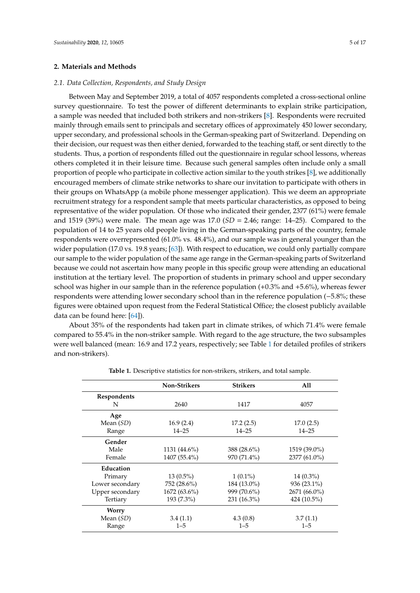# **2. Materials and Methods**

# *2.1. Data Collection, Respondents, and Study Design*

Between May and September 2019, a total of 4057 respondents completed a cross-sectional online survey questionnaire. To test the power of different determinants to explain strike participation, a sample was needed that included both strikers and non-strikers [\[8\]](#page-11-8). Respondents were recruited mainly through emails sent to principals and secretary offices of approximately 450 lower secondary, upper secondary, and professional schools in the German-speaking part of Switzerland. Depending on their decision, our request was then either denied, forwarded to the teaching staff, or sent directly to the students. Thus, a portion of respondents filled out the questionnaire in regular school lessons, whereas others completed it in their leisure time. Because such general samples often include only a small proportion of people who participate in collective action similar to the youth strikes [\[8\]](#page-11-8), we additionally encouraged members of climate strike networks to share our invitation to participate with others in their groups on WhatsApp (a mobile phone messenger application). This we deem an appropriate recruitment strategy for a respondent sample that meets particular characteristics, as opposed to being representative of the wider population. Of those who indicated their gender, 2377 (61%) were female and 1519 (39%) were male. The mean age was 17.0 (*SD* = 2.46; range: 14–25). Compared to the population of 14 to 25 years old people living in the German-speaking parts of the country, female respondents were overrepresented (61.0% vs. 48.4%), and our sample was in general younger than the wider population (17.0 vs. 19.8 years; [\[63\]](#page-14-9)). With respect to education, we could only partially compare our sample to the wider population of the same age range in the German-speaking parts of Switzerland because we could not ascertain how many people in this specific group were attending an educational institution at the tertiary level. The proportion of students in primary school and upper secondary school was higher in our sample than in the reference population (+0.3% and +5.6%), whereas fewer respondents were attending lower secondary school than in the reference population (−5.8%; these figures were obtained upon request from the Federal Statistical Office; the closest publicly available data can be found here: [\[64\]](#page-14-10)).

About 35% of the respondents had taken part in climate strikes, of which 71.4% were female compared to 55.4% in the non-striker sample. With regard to the age structure, the two subsamples were well balanced (mean: 16.9 and 17.2 years, respectively; see Table [1](#page-5-0) for detailed profiles of strikers and non-strikers).

|                 | <b>Non-Strikers</b> | <b>Strikers</b> | All           |
|-----------------|---------------------|-----------------|---------------|
| Respondents     |                     |                 |               |
| N               | 2640                | 1417            | 4057          |
| Age             |                     |                 |               |
| Mean $(SD)$     | 16.9(2.4)           | 17.2(2.5)       | 17.0(2.5)     |
| Range           | $14 - 25$           | $14 - 25$       | $14 - 25$     |
| Gender          |                     |                 |               |
| Male            | 1131 $(44.6\%)$     | 388 (28.6%)     | 1519 (39.0%)  |
| Female          | 1407 (55.4%)        | 970 (71.4%)     | 2377 (61.0%)  |
| Education       |                     |                 |               |
| Primary         | $13(0.5\%)$         | $1(0.1\%)$      | $14(0.3\%)$   |
| Lower secondary | 752 (28.6%)         | 184 (13.0%)     | $936(23.1\%)$ |
| Upper secondary | $1672(63.6\%)$      | 999 (70.6%)     | 2671 (66.0%)  |
| Tertiary        | 193 (7.3%)          | 231 (16.3%)     | 424 (10.5%)   |
| <b>Worry</b>    |                     |                 |               |
| Mean $(SD)$     | 3.4(1.1)            | 4.3(0.8)        | 3.7(1.1)      |
| Range           | $1 - 5$             | $1 - 5$         | $1 - 5$       |

**Table 1.** Descriptive statistics for non-strikers, strikers, and total sample.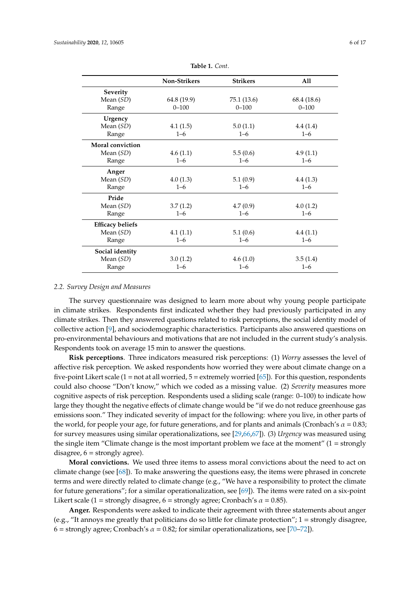<span id="page-5-0"></span>

|                         | <b>Non-Strikers</b> | <b>Strikers</b> | All         |
|-------------------------|---------------------|-----------------|-------------|
| <b>Severity</b>         |                     |                 |             |
| Mean (SD)               | 64.8 (19.9)         | 75.1 (13.6)     | 68.4 (18.6) |
| Range                   | $0 - 100$           | $0 - 100$       | $0 - 100$   |
| Urgency                 |                     |                 |             |
| Mean (SD)               | 4.1(1.5)            | 5.0(1.1)        | 4.4(1.4)    |
| Range                   | $1 - 6$             | $1 - 6$         | $1 - 6$     |
| Moral conviction        |                     |                 |             |
| Mean (SD)               | 4.6(1.1)            | 5.5(0.6)        | 4.9(1.1)    |
| Range                   | $1 - 6$             | $1 - 6$         | $1 - 6$     |
| Anger                   |                     |                 |             |
| Mean (SD)               | 4.0(1.3)            | 5.1(0.9)        | 4.4(1.3)    |
| Range                   | $1 - 6$             | $1 - 6$         | $1 - 6$     |
| Pride                   |                     |                 |             |
| Mean (SD)               | 3.7(1.2)            | 4.7(0.9)        | 4.0(1.2)    |
| Range                   | $1 - 6$             | $1 - 6$         | $1 - 6$     |
| <b>Efficacy beliefs</b> |                     |                 |             |
| Mean (SD)               | 4.1(1.1)            | 5.1(0.6)        | 4.4(1.1)    |
| Range                   | $1 - 6$             | $1 - 6$         | $1 - 6$     |
| Social identity         |                     |                 |             |
| Mean (SD)               | 3.0(1.2)            | 4.6(1.0)        | 3.5(1.4)    |
| Range                   | $1 - 6$             | $1 - 6$         | $1 - 6$     |

**Table 1.** *Cont*.

#### *2.2. Survey Design and Measures*

The survey questionnaire was designed to learn more about why young people participate in climate strikes. Respondents first indicated whether they had previously participated in any climate strikes. Then they answered questions related to risk perceptions, the social identity model of collective action [\[9\]](#page-11-7), and sociodemographic characteristics. Participants also answered questions on pro-environmental behaviours and motivations that are not included in the current study's analysis. Respondents took on average 15 min to answer the questions.

**Risk perceptions**. Three indicators measured risk perceptions: (1) *Worry* assesses the level of affective risk perception. We asked respondents how worried they were about climate change on a five-point Likert scale  $(1 = not at all worried, 5 = extremely worried [65]).$  $(1 = not at all worried, 5 = extremely worried [65]).$  $(1 = not at all worried, 5 = extremely worried [65]).$  For this question, respondents could also choose "Don't know," which we coded as a missing value. (2) *Severity* measures more cognitive aspects of risk perception. Respondents used a sliding scale (range: 0–100) to indicate how large they thought the negative effects of climate change would be "if we do not reduce greenhouse gas emissions soon." They indicated severity of impact for the following: where you live, in other parts of the world, for people your age, for future generations, and for plants and animals (Cronbach's  $\alpha = 0.83$ ; for survey measures using similar operationalizations, see [\[29,](#page-13-0)[66](#page-14-12)[,67\]](#page-14-13)). (3) *Urgency* was measured using the single item "Climate change is the most important problem we face at the moment"  $(1 = \text{strongly})$ disagree,  $6 =$  strongly agree).

**Moral convictions.** We used three items to assess moral convictions about the need to act on climate change (see [\[68\]](#page-14-14)). To make answering the questions easy, the items were phrased in concrete terms and were directly related to climate change (e.g., "We have a responsibility to protect the climate for future generations"; for a similar operationalization, see  $[69]$ ). The items were rated on a six-point Likert scale (1 = strongly disagree, 6 = strongly agree; Cronbach's  $\alpha$  = 0.85).

**Anger.** Respondents were asked to indicate their agreement with three statements about anger (e.g., "It annoys me greatly that politicians do so little for climate protection";  $1 =$  strongly disagree, 6 = strongly agree; Cronbach's  $\alpha$  = 0.82; for similar operationalizations, see [\[70–](#page-14-16)[72\]](#page-14-17)).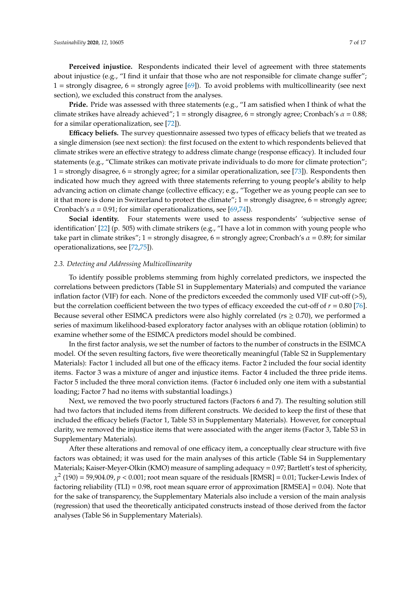**Perceived injustice.** Respondents indicated their level of agreement with three statements about injustice (e.g., "I find it unfair that those who are not responsible for climate change suffer";  $1 =$  strongly disagree,  $6 =$  strongly agree [\[69\]](#page-14-15)). To avoid problems with multicollinearity (see next section), we excluded this construct from the analyses.

**Pride.** Pride was assessed with three statements (e.g., "I am satisfied when I think of what the climate strikes have already achieved"; 1 = strongly disagree, 6 = strongly agree; Cronbach's  $\alpha$  = 0.88; for a similar operationalization, see [\[72\]](#page-14-17)).

**E**ffi**cacy beliefs.** The survey questionnaire assessed two types of efficacy beliefs that we treated as a single dimension (see next section): the first focused on the extent to which respondents believed that climate strikes were an effective strategy to address climate change (response efficacy). It included four statements (e.g., "Climate strikes can motivate private individuals to do more for climate protection"; 1 = strongly disagree,  $6$  = strongly agree; for a similar operationalization, see [\[73\]](#page-14-18)). Respondents then indicated how much they agreed with three statements referring to young people's ability to help advancing action on climate change (collective efficacy; e.g., "Together we as young people can see to it that more is done in Switzerland to protect the climate"; 1 = strongly disagree, 6 = strongly agree; Cronbach's  $\alpha$  = 0.91; for similar operationalizations, see [\[69](#page-14-15)[,74\]](#page-14-19)).

Social identity. Four statements were used to assess respondents' 'subjective sense of identification' [\[22\]](#page-12-10) (p. 505) with climate strikers (e.g., "I have a lot in common with young people who take part in climate strikes"; 1 = strongly disagree, 6 = strongly agree; Cronbach's  $\alpha$  = 0.89; for similar operationalizations, see [\[72](#page-14-17)[,75\]](#page-15-0)).

#### *2.3. Detecting and Addressing Multicollinearity*

To identify possible problems stemming from highly correlated predictors, we inspected the correlations between predictors (Table S1 in Supplementary Materials) and computed the variance inflation factor (VIF) for each. None of the predictors exceeded the commonly used VIF cut-off (>5), but the correlation coefficient between the two types of efficacy exceeded the cut-off of *r* = 0.80 [\[76\]](#page-15-1). Because several other ESIMCA predictors were also highly correlated ( $r s \geq 0.70$ ), we performed a series of maximum likelihood-based exploratory factor analyses with an oblique rotation (oblimin) to examine whether some of the ESIMCA predictors model should be combined.

In the first factor analysis, we set the number of factors to the number of constructs in the ESIMCA model. Of the seven resulting factors, five were theoretically meaningful (Table S2 in Supplementary Materials): Factor 1 included all but one of the efficacy items. Factor 2 included the four social identity items. Factor 3 was a mixture of anger and injustice items. Factor 4 included the three pride items. Factor 5 included the three moral conviction items. (Factor 6 included only one item with a substantial loading; Factor 7 had no items with substantial loadings.)

Next, we removed the two poorly structured factors (Factors 6 and 7). The resulting solution still had two factors that included items from different constructs. We decided to keep the first of these that included the efficacy beliefs (Factor 1, Table S3 in Supplementary Materials). However, for conceptual clarity, we removed the injustice items that were associated with the anger items (Factor 3, Table S3 in Supplementary Materials).

After these alterations and removal of one efficacy item, a conceptually clear structure with five factors was obtained; it was used for the main analyses of this article (Table S4 in Supplementary Materials; Kaiser-Meyer-Olkin (KMO) measure of sampling adequacy = 0.97; Bartlett's test of sphericity,  $\chi^2$  (190) = 59,904.09, *p* < 0.001; root mean square of the residuals [RMSR] = 0.01; Tucker-Lewis Index of factoring reliability (TLI) = 0.98, root mean square error of approximation [RMSEA] = 0.04). Note that for the sake of transparency, the Supplementary Materials also include a version of the main analysis (regression) that used the theoretically anticipated constructs instead of those derived from the factor analyses (Table S6 in Supplementary Materials).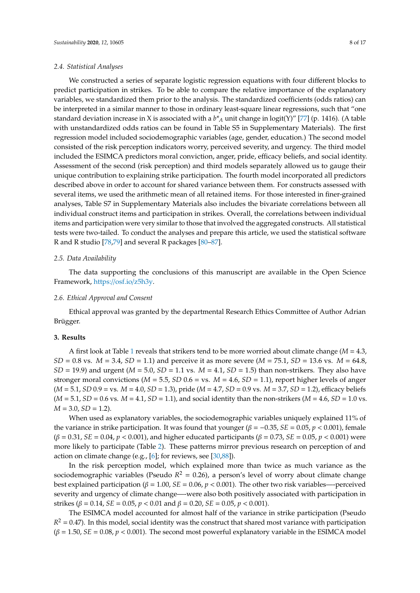#### *2.4. Statistical Analyses*

We constructed a series of separate logistic regression equations with four different blocks to predict participation in strikes. To be able to compare the relative importance of the explanatory variables, we standardized them prior to the analysis. The standardized coefficients (odds ratios) can be interpreted in a similar manner to those in ordinary least-square linear regressions, such that "one standard deviation increase in X is associated with a *b\*<sup>A</sup>* unit change in logit(Y)" [\[77\]](#page-15-2) (p. 1416). (A table with unstandardized odds ratios can be found in Table S5 in Supplementary Materials). The first regression model included sociodemographic variables (age, gender, education.) The second model consisted of the risk perception indicators worry, perceived severity, and urgency. The third model included the ESIMCA predictors moral conviction, anger, pride, efficacy beliefs, and social identity. Assessment of the second (risk perception) and third models separately allowed us to gauge their unique contribution to explaining strike participation. The fourth model incorporated all predictors described above in order to account for shared variance between them. For constructs assessed with several items, we used the arithmetic mean of all retained items. For those interested in finer-grained analyses, Table S7 in Supplementary Materials also includes the bivariate correlations between all individual construct items and participation in strikes. Overall, the correlations between individual items and participation were very similar to those that involved the aggregated constructs. All statistical tests were two-tailed. To conduct the analyses and prepare this article, we used the statistical software R and R studio [\[78](#page-15-3)[,79\]](#page-15-4) and several R packages [\[80–](#page-15-5)[87\]](#page-15-6).

# *2.5. Data Availability*

The data supporting the conclusions of this manuscript are available in the Open Science Framework, https://osf.io/[z5h3y.](https://osf.io/z5h3y)

## *2.6. Ethical Approval and Consent*

Ethical approval was granted by the departmental Research Ethics Committee of Author Adrian Brügger.

# **3. Results**

A first look at Table [1](#page-5-0) reveals that strikers tend to be more worried about climate change (*M* = 4.3, *SD* = 0.8 vs. *M* = 3.4, *SD* = 1.1) and perceive it as more severe (*M* = 75.1, *SD* = 13.6 vs. *M* = 64.8, *SD* = 19.9) and urgent (*M* = 5.0, *SD* = 1.1 vs. *M* = 4.1, *SD* = 1.5) than non-strikers. They also have stronger moral convictions ( $M = 5.5$ ,  $SD$  0.6 = vs.  $M = 4.6$ ,  $SD = 1.1$ ), report higher levels of anger (*M* = 5.1, *SD* 0.9 = vs. *M* = 4.0, *SD* = 1.3), pride (*M* = 4.7, *SD* = 0.9 vs. *M* = 3.7, *SD* = 1.2), efficacy beliefs  $(M = 5.1, SD = 0.6$  vs.  $M = 4.1, SD = 1.1$ ), and social identity than the non-strikers  $(M = 4.6, SD = 1.0$  vs.  $M = 3.0$ ,  $SD = 1.2$ ).

When used as explanatory variables, the sociodemographic variables uniquely explained 11% of the variance in strike participation. It was found that younger ( $\beta = -0.35$ ,  $SE = 0.05$ ,  $p < 0.001$ ), female  $(β = 0.31, SE = 0.04, p < 0.001)$ , and higher educated participants ( $β = 0.73, SE = 0.05, p < 0.001$ ) were more likely to participate (Table [2\)](#page-8-0). These patterns mirror previous research on perception of and action on climate change (e.g., [\[6\]](#page-11-5); for reviews, see [\[30,](#page-13-5)[88\]](#page-15-7)).

In the risk perception model, which explained more than twice as much variance as the sociodemographic variables (Pseudo  $R^2 = 0.26$ ), a person's level of worry about climate change best explained participation ( $\beta = 1.00$ ,  $SE = 0.06$ ,  $p < 0.001$ ). The other two risk variables—-perceived severity and urgency of climate change—-were also both positively associated with participation in strikes (β = 0.14, *SE* = 0.05,  $p$  < 0.01 and  $β$  = 0.20, *SE* = 0.05,  $p$  < 0.001).

The ESIMCA model accounted for almost half of the variance in strike participation (Pseudo  $R<sup>2</sup> = 0.47$ ). In this model, social identity was the construct that shared most variance with participation  $(\beta = 1.50, SE = 0.08, p < 0.001)$ . The second most powerful explanatory variable in the ESIMCA model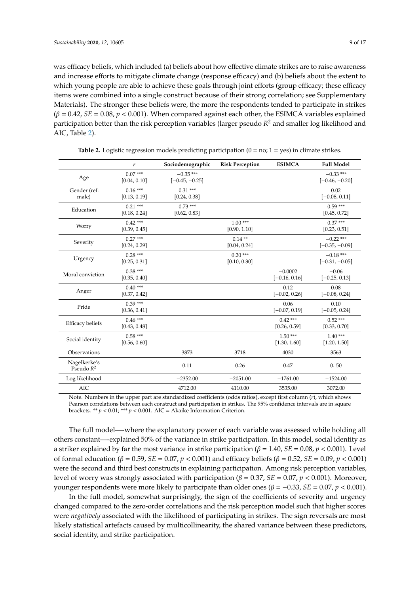was efficacy beliefs, which included (a) beliefs about how effective climate strikes are to raise awareness and increase efforts to mitigate climate change (response efficacy) and (b) beliefs about the extent to which young people are able to achieve these goals through joint efforts (group efficacy; these efficacy items were combined into a single construct because of their strong correlation; see Supplementary Materials). The stronger these beliefs were, the more the respondents tended to participate in strikes  $(\beta = 0.42, SE = 0.08, p < 0.001)$ . When compared against each other, the ESIMCA variables explained participation better than the risk perception variables (larger pseudo *R* <sup>2</sup> and smaller log likelihood and AIC, Table [2\)](#page-8-0).

<span id="page-8-0"></span>

|                              | r                         | Sociodemographic                | <b>Risk Perception</b>    | <b>ESIMCA</b>                | <b>Full Model</b>               |
|------------------------------|---------------------------|---------------------------------|---------------------------|------------------------------|---------------------------------|
| Age                          | $0.07***$<br>[0.04, 0.10] | $-0.35$ ***<br>$[-0.45, -0.25]$ |                           |                              | $-0.33$ ***<br>$[-0.46, -0.20]$ |
| Gender (ref:<br>male)        | $0.16***$<br>[0.13, 0.19] | $0.31***$<br>[0.24, 0.38]       |                           |                              | 0.02<br>$[-0.08, 0.11]$         |
| Education                    | $0.21***$<br>[0.18, 0.24] | $0.73***$<br>[0.62, 0.83]       |                           |                              | $0.59***$<br>[0.45, 0.72]       |
| Worry                        | $0.42***$<br>[0.39, 0.45] |                                 | $1.00***$<br>[0.90, 1.10] |                              | $0.37***$<br>[0.23, 0.51]       |
| Severity                     | $0.27***$<br>[0.24, 0.29] |                                 | $0.14**$<br>[0.04, 0.24]  |                              | $-0.22$ ***<br>$[-0.35, -0.09]$ |
| Urgency                      | $0.28***$<br>[0.25, 0.31] |                                 | $0.20***$<br>[0.10, 0.30] |                              | $-0.18$ ***<br>$[-0.31, -0.05]$ |
| Moral conviction             | $0.38***$<br>[0.35, 0.40] |                                 |                           | $-0.0002$<br>$[-0.16, 0.16]$ | $-0.06$<br>$[-0.25, 0.13]$      |
| Anger                        | $0.40***$<br>[0.37, 0.42] |                                 |                           | 0.12<br>$[-0.02, 0.26]$      | 0.08<br>$[-0.08, 0.24]$         |
| Pride                        | $0.39***$<br>[0.36, 0.41] |                                 |                           | 0.06<br>$[-0.07, 0.19]$      | 0.10<br>$[-0.05, 0.24]$         |
| <b>Efficacy beliefs</b>      | $0.46***$<br>[0.43, 0.48] |                                 |                           | $0.42***$<br>[0.26, 0.59]    | $0.52***$<br>[0.33, 0.70]       |
| Social identity              | $0.58***$<br>[0.56, 0.60] |                                 |                           | $1.50***$<br>[1.30, 1.60]    | $1.40***$<br>[1.20, 1.50]       |
| Observations                 |                           | 3873                            | 3718                      | 4030                         | 3563                            |
| Nagelkerke's<br>Pseudo $R^2$ |                           | 0.11                            | 0.26                      | 0.47                         | 0.50                            |
| Log likelihood               |                           | $-2352.00$                      | $-2051.00$                | $-1761.00$                   | $-1524.00$                      |
| AIC                          |                           | 4712.00                         | 4110.00                   | 3535.00                      | 3072.00                         |

| Table 2. Logistic regression models predicting participation $(0 = no; 1 = yes)$ in climate strikes. |  |  |  |
|------------------------------------------------------------------------------------------------------|--|--|--|
|------------------------------------------------------------------------------------------------------|--|--|--|

Note. Numbers in the upper part are standardized coefficients (odds ratios), except first column (*r*), which shows Pearson correlations between each construct and participation in strikes. The 95% confidence intervals are in square brackets. \*\* *p* < 0.01; \*\*\* *p* < 0.001. AIC = Akaike Information Criterion.

The full model—-where the explanatory power of each variable was assessed while holding all others constant—-explained 50% of the variance in strike participation. In this model, social identity as a striker explained by far the most variance in strike participation ( $\beta = 1.40$ ,  $SE = 0.08$ ,  $p < 0.001$ ). Level of formal education (β = 0.59, *SE* = 0.07, *p* < 0.001) and efficacy beliefs (β = 0.52, *SE* = 0.09, *p* < 0.001) were the second and third best constructs in explaining participation. Among risk perception variables, level of worry was strongly associated with participation (β = 0.37, *SE* = 0.07, *p* < 0.001). Moreover, younger respondents were more likely to participate than older ones (β = −0.33, *SE* = 0.07, *p* < 0.001).

In the full model, somewhat surprisingly, the sign of the coefficients of severity and urgency changed compared to the zero-order correlations and the risk perception model such that higher scores were *negatively* associated with the likelihood of participating in strikes. The sign reversals are most likely statistical artefacts caused by multicollinearity, the shared variance between these predictors, social identity, and strike participation.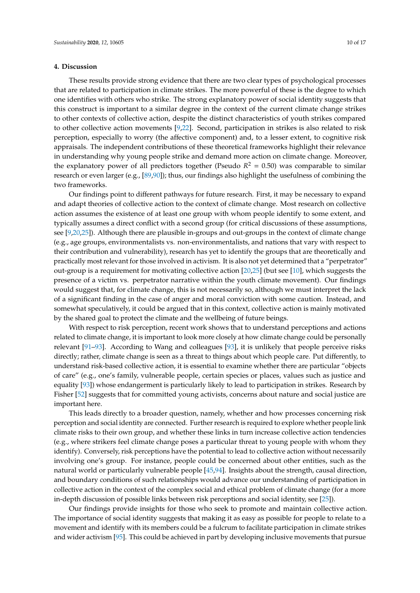## **4. Discussion**

These results provide strong evidence that there are two clear types of psychological processes that are related to participation in climate strikes. The more powerful of these is the degree to which one identifies with others who strike. The strong explanatory power of social identity suggests that this construct is important to a similar degree in the context of the current climate change strikes to other contexts of collective action, despite the distinct characteristics of youth strikes compared to other collective action movements [\[9,](#page-11-7)[22\]](#page-12-10). Second, participation in strikes is also related to risk perception, especially to worry (the affective component) and, to a lesser extent, to cognitive risk appraisals. The independent contributions of these theoretical frameworks highlight their relevance in understanding why young people strike and demand more action on climate change. Moreover, the explanatory power of all predictors together (Pseudo  $R^2 = 0.50$ ) was comparable to similar research or even larger (e.g., [\[89,](#page-15-8)[90\]](#page-15-9)); thus, our findings also highlight the usefulness of combining the two frameworks.

Our findings point to different pathways for future research. First, it may be necessary to expand and adapt theories of collective action to the context of climate change. Most research on collective action assumes the existence of at least one group with whom people identify to some extent, and typically assumes a direct conflict with a second group (for critical discussions of these assumptions, see [\[9](#page-11-7)[,20](#page-12-9)[,25\]](#page-12-13)). Although there are plausible in-groups and out-groups in the context of climate change (e.g., age groups, environmentalists vs. non-environmentalists, and nations that vary with respect to their contribution and vulnerability), research has yet to identify the groups that are theoretically and practically most relevant for those involved in activism. It is also not yet determined that a "perpetrator" out-group is a requirement for motivating collective action [\[20](#page-12-9)[,25\]](#page-12-13) (but see [\[10\]](#page-12-0), which suggests the presence of a victim vs. perpetrator narrative within the youth climate movement). Our findings would suggest that, for climate change, this is not necessarily so, although we must interpret the lack of a significant finding in the case of anger and moral conviction with some caution. Instead, and somewhat speculatively, it could be argued that in this context, collective action is mainly motivated by the shared goal to protect the climate and the wellbeing of future beings.

With respect to risk perception, recent work shows that to understand perceptions and actions related to climate change, it is important to look more closely at how climate change could be personally relevant [\[91–](#page-15-10)[93\]](#page-15-11). According to Wang and colleagues [\[93\]](#page-15-11), it is unlikely that people perceive risks directly; rather, climate change is seen as a threat to things about which people care. Put differently, to understand risk-based collective action, it is essential to examine whether there are particular "objects of care" (e.g., one's family, vulnerable people, certain species or places, values such as justice and equality [\[93\]](#page-15-11)) whose endangerment is particularly likely to lead to participation in strikes. Research by Fisher [\[52\]](#page-13-18) suggests that for committed young activists, concerns about nature and social justice are important here.

This leads directly to a broader question, namely, whether and how processes concerning risk perception and social identity are connected. Further research is required to explore whether people link climate risks to their own group, and whether these links in turn increase collective action tendencies (e.g., where strikers feel climate change poses a particular threat to young people with whom they identify). Conversely, risk perceptions have the potential to lead to collective action without necessarily involving one's group. For instance, people could be concerned about other entities, such as the natural world or particularly vulnerable people [\[45](#page-13-19)[,94\]](#page-15-12). Insights about the strength, causal direction, and boundary conditions of such relationships would advance our understanding of participation in collective action in the context of the complex social and ethical problem of climate change (for a more in-depth discussion of possible links between risk perceptions and social identity, see [\[25\]](#page-12-13)).

Our findings provide insights for those who seek to promote and maintain collective action. The importance of social identity suggests that making it as easy as possible for people to relate to a movement and identify with its members could be a fulcrum to facilitate participation in climate strikes and wider activism [\[95\]](#page-15-13). This could be achieved in part by developing inclusive movements that pursue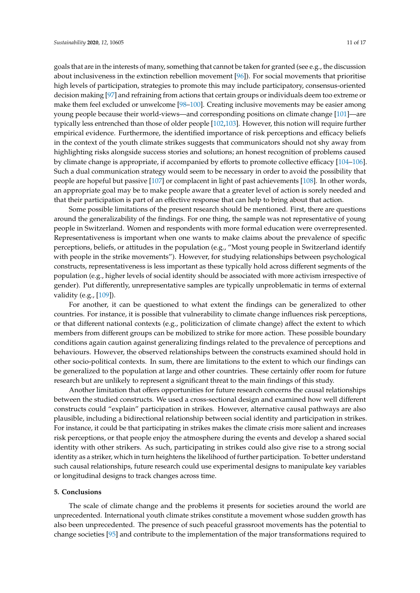goals that are in the interests of many, something that cannot be taken for granted (see e.g., the discussion about inclusiveness in the extinction rebellion movement [\[96\]](#page-15-14)). For social movements that prioritise high levels of participation, strategies to promote this may include participatory, consensus-oriented decision making [\[97\]](#page-15-15) and refraining from actions that certain groups or individuals deem too extreme or make them feel excluded or unwelcome [\[98](#page-16-0)[–100\]](#page-16-1). Creating inclusive movements may be easier among young people because their world-views—and corresponding positions on climate change [\[101\]](#page-16-2)—are typically less entrenched than those of older people [\[102](#page-16-3)[,103\]](#page-16-4). However, this notion will require further empirical evidence. Furthermore, the identified importance of risk perceptions and efficacy beliefs in the context of the youth climate strikes suggests that communicators should not shy away from highlighting risks alongside success stories and solutions; an honest recognition of problems caused by climate change is appropriate, if accompanied by efforts to promote collective efficacy [\[104–](#page-16-5)[106\]](#page-16-6). Such a dual communication strategy would seem to be necessary in order to avoid the possibility that people are hopeful but passive [\[107\]](#page-16-7) or complacent in light of past achievements [\[108\]](#page-16-8). In other words, an appropriate goal may be to make people aware that a greater level of action is sorely needed and

that their participation is part of an effective response that can help to bring about that action. Some possible limitations of the present research should be mentioned. First, there are questions around the generalizability of the findings. For one thing, the sample was not representative of young people in Switzerland. Women and respondents with more formal education were overrepresented. Representativeness is important when one wants to make claims about the prevalence of specific perceptions, beliefs, or attitudes in the population (e.g., "Most young people in Switzerland identify with people in the strike movements"). However, for studying relationships between psychological constructs, representativeness is less important as these typically hold across different segments of the population (e.g., higher levels of social identity should be associated with more activism irrespective of gender). Put differently, unrepresentative samples are typically unproblematic in terms of external validity (e.g., [\[109\]](#page-16-9)).

For another, it can be questioned to what extent the findings can be generalized to other countries. For instance, it is possible that vulnerability to climate change influences risk perceptions, or that different national contexts (e.g., politicization of climate change) affect the extent to which members from different groups can be mobilized to strike for more action. These possible boundary conditions again caution against generalizing findings related to the prevalence of perceptions and behaviours. However, the observed relationships between the constructs examined should hold in other socio-political contexts. In sum, there are limitations to the extent to which our findings can be generalized to the population at large and other countries. These certainly offer room for future research but are unlikely to represent a significant threat to the main findings of this study.

Another limitation that offers opportunities for future research concerns the causal relationships between the studied constructs. We used a cross-sectional design and examined how well different constructs could "explain" participation in strikes. However, alternative causal pathways are also plausible, including a bidirectional relationship between social identity and participation in strikes. For instance, it could be that participating in strikes makes the climate crisis more salient and increases risk perceptions, or that people enjoy the atmosphere during the events and develop a shared social identity with other strikers. As such, participating in strikes could also give rise to a strong social identity as a striker, which in turn heightens the likelihood of further participation. To better understand such causal relationships, future research could use experimental designs to manipulate key variables or longitudinal designs to track changes across time.

### **5. Conclusions**

The scale of climate change and the problems it presents for societies around the world are unprecedented. International youth climate strikes constitute a movement whose sudden growth has also been unprecedented. The presence of such peaceful grassroot movements has the potential to change societies [\[95\]](#page-15-13) and contribute to the implementation of the major transformations required to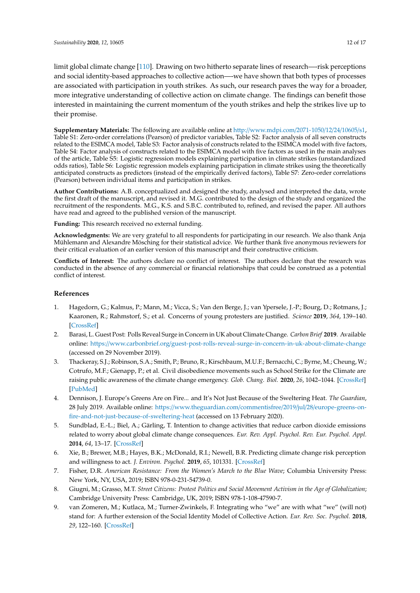limit global climate change [\[110\]](#page-16-10). Drawing on two hitherto separate lines of research—-risk perceptions and social identity-based approaches to collective action—-we have shown that both types of processes are associated with participation in youth strikes. As such, our research paves the way for a broader, more integrative understanding of collective action on climate change. The findings can benefit those interested in maintaining the current momentum of the youth strikes and help the strikes live up to their promise.

**Supplementary Materials:** The following are available online at http://[www.mdpi.com](http://www.mdpi.com/2071-1050/12/24/10605/s1)/2071-1050/12/24/10605/s1, Table S1: Zero-order correlations (Pearson) of predictor variables, Table S2: Factor analysis of all seven constructs related to the ESIMCA model, Table S3: Factor analysis of constructs related to the ESIMCA model with five factors, Table S4: Factor analysis of constructs related to the ESIMCA model with five factors as used in the main analyses of the article, Table S5: Logistic regression models explaining participation in climate strikes (unstandardized odds ratios), Table S6: Logistic regression models explaining participation in climate strikes using the theoretically anticipated constructs as predictors (instead of the empirically derived factors), Table S7: Zero-order correlations (Pearson) between individual items and participation in strikes.

**Author Contributions:** A.B. conceptualized and designed the study, analysed and interpreted the data, wrote the first draft of the manuscript, and revised it. M.G. contributed to the design of the study and organized the recruitment of the respondents. M.G., K.S. and S.B.C. contributed to, refined, and revised the paper. All authors have read and agreed to the published version of the manuscript.

**Funding:** This research received no external funding.

**Acknowledgments:** We are very grateful to all respondents for participating in our research. We also thank Anja Mühlemann and Alexandre Mösching for their statistical advice. We further thank five anonymous reviewers for their critical evaluation of an earlier version of this manuscript and their constructive criticism.

**Conflicts of Interest:** The authors declare no conflict of interest. The authors declare that the research was conducted in the absence of any commercial or financial relationships that could be construed as a potential conflict of interest.

# **References**

- <span id="page-11-0"></span>1. Hagedorn, G.; Kalmus, P.; Mann, M.; Vicca, S.; Van den Berge, J.; van Ypersele, J.-P.; Bourg, D.; Rotmans, J.; Kaaronen, R.; Rahmstorf, S.; et al. Concerns of young protesters are justified. *Science* **2019**, *364*, 139–140. [\[CrossRef\]](http://dx.doi.org/10.1126/science.aax3807)
- <span id="page-11-1"></span>2. Barasi, L. Guest Post: Polls Reveal Surge in Concern in UK about Climate Change. *Carbon Brief* **2019**. Available online: https://www.carbonbrief.org/[guest-post-rolls-reveal-surge-in-concern-in-uk-about-climate-change](https://www.carbonbrief.org/guest-post-rolls-reveal-surge-in-concern-in-uk-about-climate-change) (accessed on 29 November 2019).
- <span id="page-11-2"></span>3. Thackeray, S.J.; Robinson, S.A.; Smith, P.; Bruno, R.; Kirschbaum, M.U.F.; Bernacchi, C.; Byrne, M.; Cheung, W.; Cotrufo, M.F.; Gienapp, P.; et al. Civil disobedience movements such as School Strike for the Climate are raising public awareness of the climate change emergency. *Glob. Chang. Biol.* **2020**, *26*, 1042–1044. [\[CrossRef\]](http://dx.doi.org/10.1111/gcb.14978) [\[PubMed\]](http://www.ncbi.nlm.nih.gov/pubmed/31971648)
- <span id="page-11-3"></span>4. Dennison, J. Europe's Greens Are on Fire... and It's Not Just Because of the Sweltering Heat. *The Guardian*, 28 July 2019. Available online: https://[www.theguardian.com](https://www.theguardian.com/commentisfree/2019/jul/28/europe-greens-on-fire-and-not-just-because-of-sweltering-heat)/commentisfree/2019/jul/28/europe-greens-on[fire-and-not-just-because-of-sweltering-heat](https://www.theguardian.com/commentisfree/2019/jul/28/europe-greens-on-fire-and-not-just-because-of-sweltering-heat) (accessed on 13 February 2020).
- <span id="page-11-4"></span>5. Sundblad, E.-L.; Biel, A.; Gärling, T. Intention to change activities that reduce carbon dioxide emissions related to worry about global climate change consequences. *Eur. Rev. Appl. Psychol. Rev. Eur. Psychol. Appl.* **2014**, *64*, 13–17. [\[CrossRef\]](http://dx.doi.org/10.1016/j.erap.2011.12.001)
- <span id="page-11-5"></span>6. Xie, B.; Brewer, M.B.; Hayes, B.K.; McDonald, R.I.; Newell, B.R. Predicting climate change risk perception and willingness to act. *J. Environ. Psychol.* **2019**, *65*, 101331. [\[CrossRef\]](http://dx.doi.org/10.1016/j.jenvp.2019.101331)
- <span id="page-11-6"></span>7. Fisher, D.R. *American Resistance: From the Women's March to the Blue Wave*; Columbia University Press: New York, NY, USA, 2019; ISBN 978-0-231-54739-0.
- <span id="page-11-8"></span>8. Giugni, M.; Grasso, M.T. *Street Citizens: Protest Politics and Social Movement Activism in the Age of Globalization*; Cambridge University Press: Cambridge, UK, 2019; ISBN 978-1-108-47590-7.
- <span id="page-11-7"></span>9. van Zomeren, M.; Kutlaca, M.; Turner-Zwinkels, F. Integrating who "we" are with what "we" (will not) stand for: A further extension of the Social Identity Model of Collective Action. *Eur. Rev. Soc. Psychol.* **2018**, *29*, 122–160. [\[CrossRef\]](http://dx.doi.org/10.1080/10463283.2018.1479347)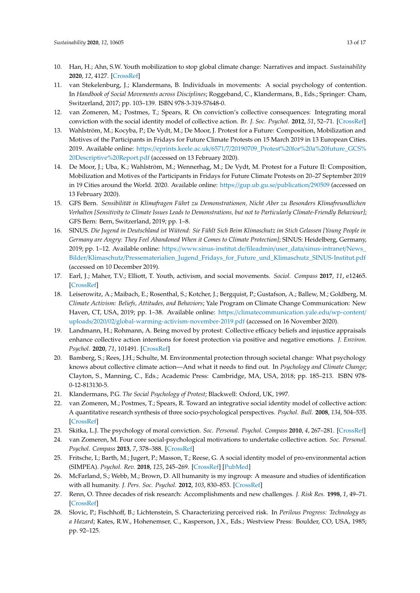- <span id="page-12-0"></span>10. Han, H.; Ahn, S.W. Youth mobilization to stop global climate change: Narratives and impact. *Sustainability* **2020**, *12*, 4127. [\[CrossRef\]](http://dx.doi.org/10.3390/su12104127)
- 11. van Stekelenburg, J.; Klandermans, B. Individuals in movements: A social psychology of contention. In *Handbook of Social Movements across Disciplines*; Roggeband, C., Klandermans, B., Eds.; Springer: Cham, Switzerland, 2017; pp. 103–139. ISBN 978-3-319-57648-0.
- <span id="page-12-1"></span>12. van Zomeren, M.; Postmes, T.; Spears, R. On conviction's collective consequences: Integrating moral conviction with the social identity model of collective action. *Br. J. Soc. Psychol.* **2012**, *51*, 52–71. [\[CrossRef\]](http://dx.doi.org/10.1111/j.2044-8309.2010.02000.x)
- <span id="page-12-2"></span>13. Wahlström, M.; Kocyba, P.; De Vydt, M.; De Moor, J. Protest for a Future: Composition, Mobilization and Motives of the Participants in Fridays for Future Climate Protests on 15 March 2019 in 13 European Cities. 2019. Available online: https://eprints.keele.ac.uk/6571/7/[20190709\\_Protest%20for%20a%20future\\_GCS%](https://eprints.keele.ac.uk/6571/7/20190709_Protest%20for%20a%20future_GCS%20Descriptive%20Report.pdf) [20Descriptive%20Report.pdf](https://eprints.keele.ac.uk/6571/7/20190709_Protest%20for%20a%20future_GCS%20Descriptive%20Report.pdf) (accessed on 13 February 2020).
- <span id="page-12-3"></span>14. De Moor, J.; Uba, K.; Wahlström, M.; Wennerhag, M.; De Vydt, M. Protest for a Future II: Composition, Mobilization and Motives of the Participants in Fridays for Future Climate Protests on 20–27 September 2019 in 19 Cities around the World. 2020. Available online: https://[gup.ub.gu.se](https://gup.ub.gu.se/publication/290509)/publication/290509 (accessed on 13 February 2020).
- <span id="page-12-4"></span>15. GFS Bern. *Sensibilität in Klimafragen Führt zu Demonstrationen, Nicht Aber zu Besonders Klimafreundlichen Verhalten [Sensitivity to Climate Issues Leads to Demonstrations, but not to Particularly Climate-Friendly Behaviour]*; GFS Bern: Bern, Switzerland, 2019; pp. 1–8.
- <span id="page-12-5"></span>16. SINUS. *Die Jugend in Deutschland ist Wütend: Sie Fühlt Sich Beim Klimaschutz im Stich Gelassen [Young People in Germany are Angry: They Feel Abandoned When it Comes to Climate Protection]*; SINUS: Heidelberg, Germany, 2019; pp. 1–12. Available online: https://[www.sinus-institut.de](https://www.sinus-institut.de/fileadmin/user_data/sinus-intranet/News_Bilder/Klimaschutz/Pressematerialien_Jugend_Fridays_for_Future_und_Klimaschutz_SINUS-Institut.pdf)/fileadmin/user\_data/sinus-intranet/News\_ Bilder/Klimaschutz/[Pressematerialien\\_Jugend\\_Fridays\\_for\\_Future\\_und\\_Klimaschutz\\_SINUS-Institut.pdf](https://www.sinus-institut.de/fileadmin/user_data/sinus-intranet/News_Bilder/Klimaschutz/Pressematerialien_Jugend_Fridays_for_Future_und_Klimaschutz_SINUS-Institut.pdf) (accessed on 10 December 2019).
- <span id="page-12-6"></span>17. Earl, J.; Maher, T.V.; Elliott, T. Youth, activism, and social movements. *Sociol. Compass* **2017**, *11*, e12465. [\[CrossRef\]](http://dx.doi.org/10.1111/soc4.12465)
- <span id="page-12-7"></span>18. Leiserowitz, A.; Maibach, E.; Rosenthal, S.; Kotcher, J.; Bergquist, P.; Gustafson, A.; Ballew, M.; Goldberg, M. *Climate Activism: Beliefs, Attitudes, and Behaviors*; Yale Program on Climate Change Communication: New Haven, CT, USA, 2019; pp. 1–38. Available online: https://[climatecommunication.yale.edu](https://climatecommunication.yale.edu/wp-content/uploads/2020/02/global-warming-activism-november-2019.pdf)/wp-content/ uploads/2020/02/[global-warming-activism-november-2019.pdf](https://climatecommunication.yale.edu/wp-content/uploads/2020/02/global-warming-activism-november-2019.pdf) (accessed on 16 November 2020).
- <span id="page-12-8"></span>19. Landmann, H.; Rohmann, A. Being moved by protest: Collective efficacy beliefs and injustice appraisals enhance collective action intentions for forest protection via positive and negative emotions. *J. Environ. Psychol.* **2020**, *71*, 101491. [\[CrossRef\]](http://dx.doi.org/10.1016/j.jenvp.2020.101491)
- <span id="page-12-9"></span>20. Bamberg, S.; Rees, J.H.; Schulte, M. Environmental protection through societal change: What psychology knows about collective climate action—And what it needs to find out. In *Psychology and Climate Change*; Clayton, S., Manning, C., Eds.; Academic Press: Cambridge, MA, USA, 2018; pp. 185–213. ISBN 978- 0-12-813130-5.
- 21. Klandermans, P.G. *The Social Psychology of Protest*; Blackwell: Oxford, UK, 1997.
- <span id="page-12-10"></span>22. van Zomeren, M.; Postmes, T.; Spears, R. Toward an integrative social identity model of collective action: A quantitative research synthesis of three socio-psychological perspectives. *Psychol. Bull.* **2008**, *134*, 504–535. [\[CrossRef\]](http://dx.doi.org/10.1037/0033-2909.134.4.504)
- <span id="page-12-12"></span><span id="page-12-11"></span>23. Skitka, L.J. The psychology of moral conviction. *Soc. Personal. Psychol. Compass* **2010**, *4*, 267–281. [\[CrossRef\]](http://dx.doi.org/10.1111/j.1751-9004.2010.00254.x)
- 24. van Zomeren, M. Four core social-psychological motivations to undertake collective action. *Soc. Personal. Psychol. Compass* **2013**, *7*, 378–388. [\[CrossRef\]](http://dx.doi.org/10.1111/spc3.12031)
- <span id="page-12-13"></span>25. Fritsche, I.; Barth, M.; Jugert, P.; Masson, T.; Reese, G. A social identity model of pro-environmental action (SIMPEA). *Psychol. Rev.* **2018**, *125*, 245–269. [\[CrossRef\]](http://dx.doi.org/10.1037/rev0000090) [\[PubMed\]](http://www.ncbi.nlm.nih.gov/pubmed/29265852)
- <span id="page-12-14"></span>26. McFarland, S.; Webb, M.; Brown, D. All humanity is my ingroup: A measure and studies of identification with all humanity. *J. Pers. Soc. Psychol.* **2012**, *103*, 830–853. [\[CrossRef\]](http://dx.doi.org/10.1037/a0028724)
- <span id="page-12-15"></span>27. Renn, O. Three decades of risk research: Accomplishments and new challenges. *J. Risk Res.* **1998**, *1*, 49–71. [\[CrossRef\]](http://dx.doi.org/10.1080/136698798377321)
- <span id="page-12-16"></span>28. Slovic, P.; Fischhoff, B.; Lichtenstein, S. Characterizing perceived risk. In *Perilous Progress: Technology as a Hazard*; Kates, R.W., Hohenemser, C., Kasperson, J.X., Eds.; Westview Press: Boulder, CO, USA, 1985; pp. 92–125.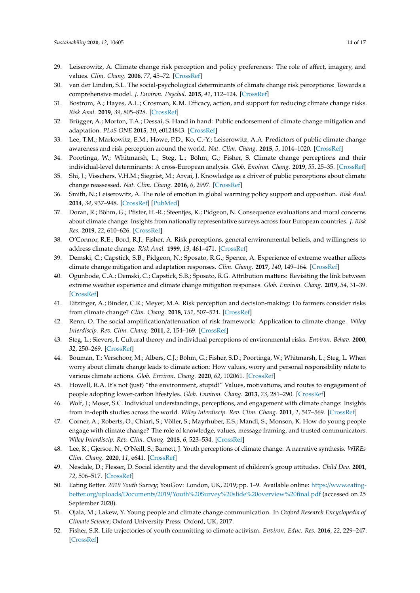- <span id="page-13-0"></span>29. Leiserowitz, A. Climate change risk perception and policy preferences: The role of affect, imagery, and values. *Clim. Chang.* **2006**, *77*, 45–72. [\[CrossRef\]](http://dx.doi.org/10.1007/s10584-006-9059-9)
- <span id="page-13-5"></span>30. van der Linden, S.L. The social-psychological determinants of climate change risk perceptions: Towards a comprehensive model. *J. Environ. Psychol.* **2015**, *41*, 112–124. [\[CrossRef\]](http://dx.doi.org/10.1016/j.jenvp.2014.11.012)
- 31. Bostrom, A.; Hayes, A.L.; Crosman, K.M. Efficacy, action, and support for reducing climate change risks. *Risk Anal.* **2019**, *39*, 805–828. [\[CrossRef\]](http://dx.doi.org/10.1111/risa.13210)
- 32. Brügger, A.; Morton, T.A.; Dessai, S. Hand in hand: Public endorsement of climate change mitigation and adaptation. *PLoS ONE* **2015**, *10*, e0124843. [\[CrossRef\]](http://dx.doi.org/10.1371/journal.pone.0124843)
- <span id="page-13-3"></span>33. Lee, T.M.; Markowitz, E.M.; Howe, P.D.; Ko, C.-Y.; Leiserowitz, A.A. Predictors of public climate change awareness and risk perception around the world. *Nat. Clim. Chang.* **2015**, *5*, 1014–1020. [\[CrossRef\]](http://dx.doi.org/10.1038/nclimate2728)
- 34. Poortinga, W.; Whitmarsh, L.; Steg, L.; Böhm, G.; Fisher, S. Climate change perceptions and their individual-level determinants: A cross-European analysis. *Glob. Environ. Chang.* **2019**, *55*, 25–35. [\[CrossRef\]](http://dx.doi.org/10.1016/j.gloenvcha.2019.01.007)
- 35. Shi, J.; Visschers, V.H.M.; Siegrist, M.; Arvai, J. Knowledge as a driver of public perceptions about climate change reassessed. *Nat. Clim. Chang.* **2016**, *6*, 2997. [\[CrossRef\]](http://dx.doi.org/10.1038/nclimate2997)
- <span id="page-13-1"></span>36. Smith, N.; Leiserowitz, A. The role of emotion in global warming policy support and opposition. *Risk Anal.* **2014**, *34*, 937–948. [\[CrossRef\]](http://dx.doi.org/10.1111/risa.12140) [\[PubMed\]](http://www.ncbi.nlm.nih.gov/pubmed/24219420)
- <span id="page-13-2"></span>37. Doran, R.; Böhm, G.; Pfister, H.-R.; Steentjes, K.; Pidgeon, N. Consequence evaluations and moral concerns about climate change: Insights from nationally representative surveys across four European countries. *J. Risk Res.* **2019**, *22*, 610–626. [\[CrossRef\]](http://dx.doi.org/10.1080/13669877.2018.1473468)
- <span id="page-13-4"></span>38. O'Connor, R.E.; Bord, R.J.; Fisher, A. Risk perceptions, general environmental beliefs, and willingness to address climate change. *Risk Anal.* **1999**, *19*, 461–471. [\[CrossRef\]](http://dx.doi.org/10.1111/j.1539-6924.1999.tb00421.x)
- <span id="page-13-6"></span>39. Demski, C.; Capstick, S.B.; Pidgeon, N.; Sposato, R.G.; Spence, A. Experience of extreme weather affects climate change mitigation and adaptation responses. *Clim. Chang.* **2017**, *140*, 149–164. [\[CrossRef\]](http://dx.doi.org/10.1007/s10584-016-1837-4)
- <span id="page-13-7"></span>40. Ogunbode, C.A.; Demski, C.; Capstick, S.B.; Sposato, R.G. Attribution matters: Revisiting the link between extreme weather experience and climate change mitigation responses. *Glob. Environ. Chang.* **2019**, *54*, 31–39. [\[CrossRef\]](http://dx.doi.org/10.1016/j.gloenvcha.2018.11.005)
- <span id="page-13-8"></span>41. Eitzinger, A.; Binder, C.R.; Meyer, M.A. Risk perception and decision-making: Do farmers consider risks from climate change? *Clim. Chang.* **2018**, *151*, 507–524. [\[CrossRef\]](http://dx.doi.org/10.1007/s10584-018-2320-1)
- <span id="page-13-9"></span>42. Renn, O. The social amplification/attenuation of risk framework: Application to climate change. *Wiley Interdiscip. Rev. Clim. Chang.* **2011**, *2*, 154–169. [\[CrossRef\]](http://dx.doi.org/10.1002/wcc.99)
- <span id="page-13-10"></span>43. Steg, L.; Sievers, I. Cultural theory and individual perceptions of environmental risks. *Environ. Behav.* **2000**, *32*, 250–269. [\[CrossRef\]](http://dx.doi.org/10.1177/00139160021972513)
- <span id="page-13-11"></span>44. Bouman, T.; Verschoor, M.; Albers, C.J.; Böhm, G.; Fisher, S.D.; Poortinga, W.; Whitmarsh, L.; Steg, L. When worry about climate change leads to climate action: How values, worry and personal responsibility relate to various climate actions. *Glob. Environ. Chang.* **2020**, *62*, 102061. [\[CrossRef\]](http://dx.doi.org/10.1016/j.gloenvcha.2020.102061)
- <span id="page-13-19"></span>45. Howell, R.A. It's not (just) "the environment, stupid!" Values, motivations, and routes to engagement of people adopting lower-carbon lifestyles. *Glob. Environ. Chang.* **2013**, *23*, 281–290. [\[CrossRef\]](http://dx.doi.org/10.1016/j.gloenvcha.2012.10.015)
- <span id="page-13-12"></span>46. Wolf, J.; Moser, S.C. Individual understandings, perceptions, and engagement with climate change: Insights from in-depth studies across the world. *Wiley Interdiscip. Rev. Clim. Chang.* **2011**, *2*, 547–569. [\[CrossRef\]](http://dx.doi.org/10.1002/wcc.120)
- <span id="page-13-13"></span>47. Corner, A.; Roberts, O.; Chiari, S.; Völler, S.; Mayrhuber, E.S.; Mandl, S.; Monson, K. How do young people engage with climate change? The role of knowledge, values, message framing, and trusted communicators. *Wiley Interdiscip. Rev. Clim. Chang.* **2015**, *6*, 523–534. [\[CrossRef\]](http://dx.doi.org/10.1002/wcc.353)
- <span id="page-13-14"></span>48. Lee, K.; Gjersoe, N.; O'Neill, S.; Barnett, J. Youth perceptions of climate change: A narrative synthesis. *WIREs Clim. Chang.* **2020**, *11*, e641. [\[CrossRef\]](http://dx.doi.org/10.1002/wcc.641)
- <span id="page-13-15"></span>49. Nesdale, D.; Flesser, D. Social identity and the development of children's group attitudes. *Child Dev.* **2001**, *72*, 506–517. [\[CrossRef\]](http://dx.doi.org/10.1111/1467-8624.00293)
- <span id="page-13-16"></span>50. Eating Better. *2019 Youth Survey*; YouGov: London, UK, 2019; pp. 1–9. Available online: https://[www.eating](https://www.eating-better.org/uploads/Documents/2019/Youth%20Survey%20slide%20overview%20final.pdf)better.org/uploads/Documents/2019/[Youth%20Survey%20slide%20overview%20final.pdf](https://www.eating-better.org/uploads/Documents/2019/Youth%20Survey%20slide%20overview%20final.pdf) (accessed on 25 September 2020).
- <span id="page-13-17"></span>51. Ojala, M.; Lakew, Y. Young people and climate change communication. In *Oxford Research Encyclopedia of Climate Science*; Oxford University Press: Oxford, UK, 2017.
- <span id="page-13-18"></span>52. Fisher, S.R. Life trajectories of youth committing to climate activism. *Environ. Educ. Res.* **2016**, *22*, 229–247. [\[CrossRef\]](http://dx.doi.org/10.1080/13504622.2015.1007337)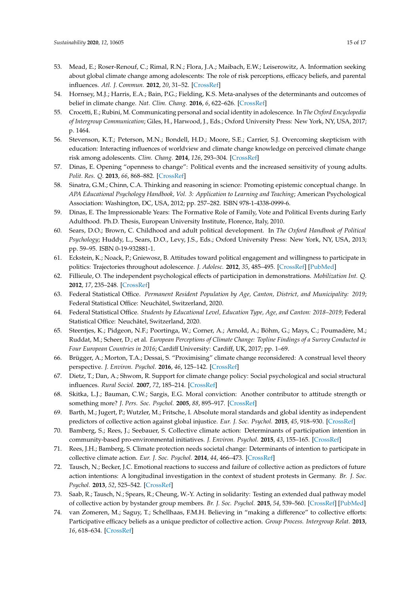- <span id="page-14-0"></span>53. Mead, E.; Roser-Renouf, C.; Rimal, R.N.; Flora, J.A.; Maibach, E.W.; Leiserowitz, A. Information seeking about global climate change among adolescents: The role of risk perceptions, efficacy beliefs, and parental influences. *Atl. J. Commun.* **2012**, *20*, 31–52. [\[CrossRef\]](http://dx.doi.org/10.1080/15456870.2012.637027)
- <span id="page-14-1"></span>54. Hornsey, M.J.; Harris, E.A.; Bain, P.G.; Fielding, K.S. Meta-analyses of the determinants and outcomes of belief in climate change. *Nat. Clim. Chang.* **2016**, *6*, 622–626. [\[CrossRef\]](http://dx.doi.org/10.1038/nclimate2943)
- <span id="page-14-2"></span>55. Crocetti, E.; Rubini, M. Communicating personal and social identity in adolescence. In *The Oxford Encyclopedia of Intergroup Communication*; Giles, H., Harwood, J., Eds.; Oxford University Press: New York, NY, USA, 2017; p. 1464.
- <span id="page-14-3"></span>56. Stevenson, K.T.; Peterson, M.N.; Bondell, H.D.; Moore, S.E.; Carrier, S.J. Overcoming skepticism with education: Interacting influences of worldview and climate change knowledge on perceived climate change risk among adolescents. *Clim. Chang.* **2014**, *126*, 293–304. [\[CrossRef\]](http://dx.doi.org/10.1007/s10584-014-1228-7)
- <span id="page-14-4"></span>57. Dinas, E. Opening "openness to change": Political events and the increased sensitivity of young adults. *Polit. Res. Q.* **2013**, *66*, 868–882. [\[CrossRef\]](http://dx.doi.org/10.1177/1065912913475874)
- <span id="page-14-5"></span>58. Sinatra, G.M.; Chinn, C.A. Thinking and reasoning in science: Promoting epistemic conceptual change. In *APA Educational Psychology Handbook, Vol. 3: Application to Learning and Teaching*; American Psychological Association: Washington, DC, USA, 2012; pp. 257–282. ISBN 978-1-4338-0999-6.
- <span id="page-14-6"></span>59. Dinas, E. The Impressionable Years: The Formative Role of Family, Vote and Political Events during Early Adulthood. Ph.D. Thesis, European University Institute, Florence, Italy, 2010.
- 60. Sears, D.O.; Brown, C. Childhood and adult political development. In *The Oxford Handbook of Political Psychology*; Huddy, L., Sears, D.O., Levy, J.S., Eds.; Oxford University Press: New York, NY, USA, 2013; pp. 59–95. ISBN 0-19-932881-1.
- <span id="page-14-7"></span>61. Eckstein, K.; Noack, P.; Gniewosz, B. Attitudes toward political engagement and willingness to participate in politics: Trajectories throughout adolescence. *J. Adolesc.* **2012**, *35*, 485–495. [\[CrossRef\]](http://dx.doi.org/10.1016/j.adolescence.2011.07.002) [\[PubMed\]](http://www.ncbi.nlm.nih.gov/pubmed/21831416)
- <span id="page-14-8"></span>62. Fillieule, O. The independent psychological effects of participation in demonstrations. *Mobilization Int. Q.* **2012**, *17*, 235–248. [\[CrossRef\]](http://dx.doi.org/10.17813/maiq.17.3.h10631822v65820l)
- <span id="page-14-9"></span>63. Federal Statistical Office. *Permanent Resident Population by Age, Canton, District, and Municipality: 2019*; Federal Statistical Office: Neuchâtel, Switzerland, 2020.
- <span id="page-14-10"></span>64. Federal Statistical Office. *Students by Educational Level, Education Type, Age, and Canton: 2018–2019*; Federal Statistical Office: Neuchâtel, Switzerland, 2020.
- <span id="page-14-11"></span>65. Steentjes, K.; Pidgeon, N.F.; Poortinga, W.; Corner, A.; Arnold, A.; Böhm, G.; Mays, C.; Poumadère, M.; Ruddat, M.; Scheer, D.; et al. *European Perceptions of Climate Change: Topline Findings of a Survey Conducted in Four European Countries in 2016*; Cardiff University: Cardiff, UK, 2017; pp. 1–69.
- <span id="page-14-12"></span>66. Brügger, A.; Morton, T.A.; Dessai, S. "Proximising" climate change reconsidered: A construal level theory perspective. *J. Environ. Psychol.* **2016**, *46*, 125–142. [\[CrossRef\]](http://dx.doi.org/10.1016/j.jenvp.2016.04.004)
- <span id="page-14-13"></span>67. Dietz, T.; Dan, A.; Shwom, R. Support for climate change policy: Social psychological and social structural influences. *Rural Sociol.* **2007**, *72*, 185–214. [\[CrossRef\]](http://dx.doi.org/10.1526/003601107781170026)
- <span id="page-14-14"></span>68. Skitka, L.J.; Bauman, C.W.; Sargis, E.G. Moral conviction: Another contributor to attitude strength or something more? *J. Pers. Soc. Psychol.* **2005**, *88*, 895–917. [\[CrossRef\]](http://dx.doi.org/10.1037/0022-3514.88.6.895)
- <span id="page-14-15"></span>69. Barth, M.; Jugert, P.; Wutzler, M.; Fritsche, I. Absolute moral standards and global identity as independent predictors of collective action against global injustice. *Eur. J. Soc. Psychol.* **2015**, *45*, 918–930. [\[CrossRef\]](http://dx.doi.org/10.1002/ejsp.2160)
- <span id="page-14-16"></span>70. Bamberg, S.; Rees, J.; Seebauer, S. Collective climate action: Determinants of participation intention in community-based pro-environmental initiatives. *J. Environ. Psychol.* **2015**, *43*, 155–165. [\[CrossRef\]](http://dx.doi.org/10.1016/j.jenvp.2015.06.006)
- 71. Rees, J.H.; Bamberg, S. Climate protection needs societal change: Determinants of intention to participate in collective climate action. *Eur. J. Soc. Psychol.* **2014**, *44*, 466–473. [\[CrossRef\]](http://dx.doi.org/10.1002/ejsp.2032)
- <span id="page-14-17"></span>72. Tausch, N.; Becker, J.C. Emotional reactions to success and failure of collective action as predictors of future action intentions: A longitudinal investigation in the context of student protests in Germany. *Br. J. Soc. Psychol.* **2013**, *52*, 525–542. [\[CrossRef\]](http://dx.doi.org/10.1111/j.2044-8309.2012.02109.x)
- <span id="page-14-18"></span>73. Saab, R.; Tausch, N.; Spears, R.; Cheung, W.-Y. Acting in solidarity: Testing an extended dual pathway model of collective action by bystander group members. *Br. J. Soc. Psychol.* **2015**, *54*, 539–560. [\[CrossRef\]](http://dx.doi.org/10.1111/bjso.12095) [\[PubMed\]](http://www.ncbi.nlm.nih.gov/pubmed/25406712)
- <span id="page-14-19"></span>74. van Zomeren, M.; Saguy, T.; Schellhaas, F.M.H. Believing in "making a difference" to collective efforts: Participative efficacy beliefs as a unique predictor of collective action. *Group Process. Intergroup Relat.* **2013**, *16*, 618–634. [\[CrossRef\]](http://dx.doi.org/10.1177/1368430212467476)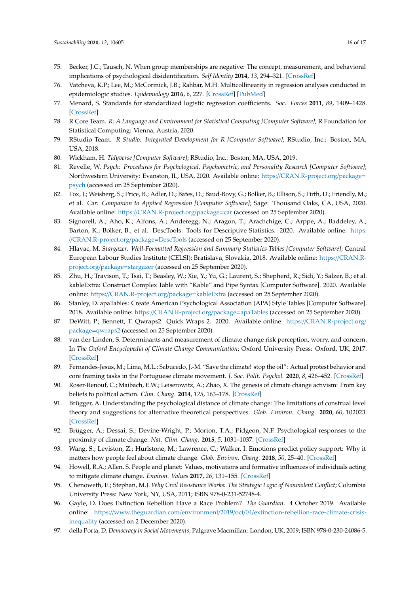- <span id="page-15-0"></span>75. Becker, J.C.; Tausch, N. When group memberships are negative: The concept, measurement, and behavioral implications of psychological disidentification. *Self Identity* **2014**, *13*, 294–321. [\[CrossRef\]](http://dx.doi.org/10.1080/15298868.2013.819991)
- <span id="page-15-1"></span>76. Vatcheva, K.P.; Lee, M.; McCormick, J.B.; Rahbar, M.H. Multicollinearity in regression analyses conducted in epidemiologic studies. *Epidemiology* **2016**, *6*, 227. [\[CrossRef\]](http://dx.doi.org/10.4172/2161-1165.1000227) [\[PubMed\]](http://www.ncbi.nlm.nih.gov/pubmed/27274911)
- <span id="page-15-2"></span>77. Menard, S. Standards for standardized logistic regression coefficients. *Soc. Forces* **2011**, *89*, 1409–1428. [\[CrossRef\]](http://dx.doi.org/10.1093/sf/89.4.1409)
- <span id="page-15-3"></span>78. R Core Team. *R: A Language and Environment for Statistical Computing [Computer Software]*; R Foundation for Statistical Computing: Vienna, Austria, 2020.
- <span id="page-15-4"></span>79. RStudio Team. *R Studio: Integrated Development for R [Computer Software]*; RStudio, Inc.: Boston, MA, USA, 2018.
- <span id="page-15-5"></span>80. Wickham, H. *Tidyverse [Computer Software]*; RStudio, Inc.: Boston, MA, USA, 2019.
- 81. Revelle, W. *Psych: Procedures for Psychological, Psychometric, and Personality Research [Computer Software]*; Northwestern University: Evanston, IL, USA, 2020. Available online: https://[CRAN.R-project.org](https://CRAN.R-project.org/package=psych)/package= [psych](https://CRAN.R-project.org/package=psych) (accessed on 25 September 2020).
- 82. Fox, J.; Weisberg, S.; Price, B.; Adler, D.; Bates, D.; Baud-Bovy, G.; Bolker, B.; Ellison, S.; Firth, D.; Friendly, M.; et al. *Car: Companion to Applied Regression [Computer Software]*; Sage: Thousand Oaks, CA, USA, 2020. Available online: https://[CRAN.R-project.org](https://CRAN.R-project.org/package=car)/package=car (accessed on 25 September 2020).
- 83. Signorell, A.; Aho, K.; Alfons, A.; Anderegg, N.; Aragon, T.; Arachchige, C.; Arppe, A.; Baddeley, A.; Barton, K.; Bolker, B.; et al. DescTools: Tools for Descriptive Statistics. 2020. Available online: [https:](https://CRAN.R-project.org/package=DescTools) //[CRAN.R-project.org](https://CRAN.R-project.org/package=DescTools)/package=DescTools (accessed on 25 September 2020).
- 84. Hlavac, M. *Stargazer: Well-Formatted Regression and Summary Statistics Tables [Computer Software]*; Central European Labour Studies Institute (CELSI): Bratislava, Slovakia, 2018. Available online: https://[CRAN.R](https://CRAN.R-project.org/package=stargazer)[project.org](https://CRAN.R-project.org/package=stargazer)/package=stargazer (accessed on 25 September 2020).
- 85. Zhu, H.; Travison, T.; Tsai, T.; Beasley, W.; Xie, Y.; Yu, G.; Laurent, S.; Shepherd, R.; Sidi, Y.; Salzer, B.; et al. kableExtra: Construct Complex Table with "Kable" and Pipe Syntax [Computer Software]. 2020. Available online: https://[CRAN.R-project.org](https://CRAN.R-project.org/package=kableExtra)/package=kableExtra (accessed on 25 September 2020).
- 86. Stanley, D. apaTables: Create American Psychological Association (APA) Style Tables [Computer Software]. 2018. Available online: https://[CRAN.R-project.org](https://CRAN.R-project.org/package=apaTables)/package=apaTables (accessed on 25 September 2020).
- <span id="page-15-6"></span>87. DeWitt, P.; Bennett, T. Qwraps2: Quick Wraps 2. 2020. Available online: https://[CRAN.R-project.org](https://CRAN.R-project.org/package=qwraps2)/ package=[qwraps2](https://CRAN.R-project.org/package=qwraps2) (accessed on 25 September 2020).
- <span id="page-15-7"></span>88. van der Linden, S. Determinants and measurement of climate change risk perception, worry, and concern. In *The Oxford Encyclopedia of Climate Change Communication*; Oxford University Press: Oxford, UK, 2017. [\[CrossRef\]](http://dx.doi.org/10.1093/acrefore/9780190228620.013.318)
- <span id="page-15-8"></span>89. Fernandes-Jesus, M.; Lima, M.L.; Sabucedo, J.-M. "Save the climate! stop the oil": Actual protest behavior and core framing tasks in the Portuguese climate movement. *J. Soc. Polit. Psychol.* **2020**, *8*, 426–452. [\[CrossRef\]](http://dx.doi.org/10.5964/jspp.v8i1.1116)
- <span id="page-15-9"></span>90. Roser-Renouf, C.; Maibach, E.W.; Leiserowitz, A.; Zhao, X. The genesis of climate change activism: From key beliefs to political action. *Clim. Chang.* **2014**, *125*, 163–178. [\[CrossRef\]](http://dx.doi.org/10.1007/s10584-014-1173-5)
- <span id="page-15-10"></span>91. Brügger, A. Understanding the psychological distance of climate change: The limitations of construal level theory and suggestions for alternative theoretical perspectives. *Glob. Environ. Chang.* **2020**, *60*, 102023. [\[CrossRef\]](http://dx.doi.org/10.1016/j.gloenvcha.2019.102023)
- 92. Brügger, A.; Dessai, S.; Devine-Wright, P.; Morton, T.A.; Pidgeon, N.F. Psychological responses to the proximity of climate change. *Nat. Clim. Chang.* **2015**, *5*, 1031–1037. [\[CrossRef\]](http://dx.doi.org/10.1038/nclimate2760)
- <span id="page-15-11"></span>93. Wang, S.; Leviston, Z.; Hurlstone, M.; Lawrence, C.; Walker, I. Emotions predict policy support: Why it matters how people feel about climate change. *Glob. Environ. Chang.* **2018**, *50*, 25–40. [\[CrossRef\]](http://dx.doi.org/10.1016/j.gloenvcha.2018.03.002)
- <span id="page-15-12"></span>94. Howell, R.A.; Allen, S. People and planet: Values, motivations and formative influences of individuals acting to mitigate climate change. *Environ. Values* **2017**, *26*, 131–155. [\[CrossRef\]](http://dx.doi.org/10.3197/096327117X14847335385436)
- <span id="page-15-13"></span>95. Chenoweth, E.; Stephan, M.J. *Why Civil Resistance Works: The Strategic Logic of Nonviolent Conflict*; Columbia University Press: New York, NY, USA, 2011; ISBN 978-0-231-52748-4.
- <span id="page-15-14"></span>96. Gayle, D. Does Extinction Rebellion Have a Race Problem? *The Guardian*. 4 October 2019. Available online: https://www.theguardian.com/environment/2019/oct/04/[extinction-rebellion-race-climate-crisis](https://www.theguardian.com/environment/2019/oct/04/extinction-rebellion-race-climate-crisis-inequality)[inequality](https://www.theguardian.com/environment/2019/oct/04/extinction-rebellion-race-climate-crisis-inequality) (accessed on 2 December 2020).
- <span id="page-15-15"></span>97. della Porta, D. *Democracy in Social Movements*; Palgrave Macmillan: London, UK, 2009; ISBN 978-0-230-24086-5.